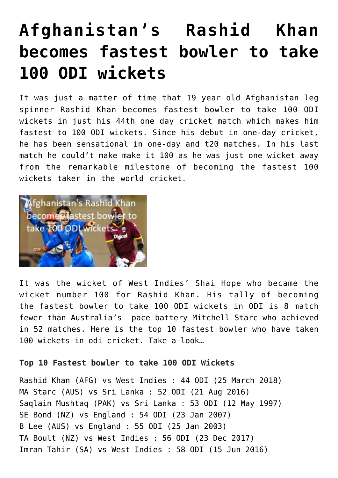## **[Afghanistan's Rashid Khan](https://www.sportstakis.com/afghanistans-rashid-khan-becomes-fastest-bowler-to-take-100-odi-wickets/) [becomes fastest bowler to take](https://www.sportstakis.com/afghanistans-rashid-khan-becomes-fastest-bowler-to-take-100-odi-wickets/) [100 ODI wickets](https://www.sportstakis.com/afghanistans-rashid-khan-becomes-fastest-bowler-to-take-100-odi-wickets/)**

It was just a matter of time that 19 year old Afghanistan leg spinner Rashid Khan becomes fastest bowler to take 100 ODI wickets in just his 44th one day cricket match which makes him fastest to 100 ODI wickets. Since his debut in one-day cricket, he has been sensational in one-day and t20 matches. In his last match he could't make make it 100 as he was just one wicket away from the remarkable milestone of becoming the fastest 100 wickets taker in the world cricket.



It was the wicket of West Indies' Shai Hope who became the wicket number 100 for Rashid Khan. His tally of becoming the fastest bowler to take 100 ODI wickets in ODI is 8 match fewer than Australia's pace battery Mitchell Starc who achieved in 52 matches. Here is the top 10 fastest bowler who have taken 100 wickets in odi cricket. Take a look…

## **Top 10 Fastest bowler to take 100 ODI Wickets**

Rashid Khan (AFG) vs West Indies : 44 ODI (25 March 2018) MA Starc (AUS) vs Sri Lanka : 52 ODI (21 Aug 2016) Saqlain Mushtaq (PAK) vs Sri Lanka : 53 ODI (12 May 1997) SE Bond (NZ) vs England : 54 ODI (23 Jan 2007) B Lee (AUS) vs England : 55 ODI (25 Jan 2003) TA Boult (NZ) vs West Indies : 56 ODI (23 Dec 2017) Imran Tahir (SA) vs West Indies : 58 ODI (15 Jun 2016)